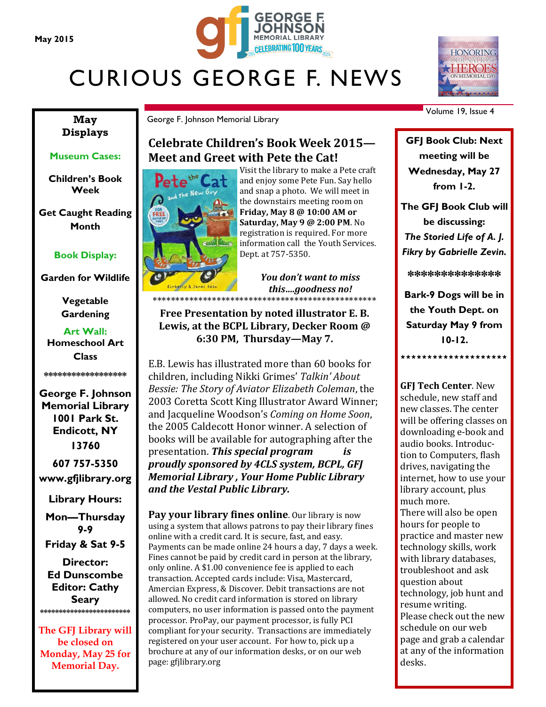**May 2015**



## CURIOUS GEORGE F. NEWS



**May Displays**

#### **Museum Cases:**

**Children's Book Week** 

**Get Caught Reading Month**

**Book Display:**

**Garden for Wildlife**

**Vegetable Gardening**

**Art Wall: Homeschool Art Class**

**\*\*\*\*\*\*\*\*\*\*\*\*\*\*\*\*\*\***

**George F. Johnson Memorial Library 1001 Park St. Endicott, NY 13760**

**607 757-5350 www.gfjlibrary.org**

### **Library Hours:**

**Mon—Thursday 9-9**

**Friday & Sat 9-5**

**Director: Ed Dunscombe Editor: Cathy Seary \*\*\*\*\*\*\*\*\*\*\*\*\*\*\*\*\*\*\*\*\*\*\*\***

**The GFJ Library will be closed on Monday, May 25 for Memorial Day.**

George F. Johnson Memorial Library

### **Celebrate Children's Book Week 2015— Meet and Greet with Pete the Cat!**



\*\*\*\*\*\*\*

Visit the library to make a Pete craft and enjoy some Pete Fun. Say hello and snap a photo. We will meet in the downstairs meeting room on **Friday, May 8 @ 10:00 AM or Saturday, May 9 @ 2:00 PM**. No registration is required. For more information call the Youth Services. Dept. at 757-5350.

\*\*\*\*\*\*\*\*\*\*\*\*\*\*\*\*\*\*\*\*\*\*\*\*\*\*\*\*\*\*\*\*\*\*\*\*\*\*\*\*\*\*\*\*\*\*\*\*\*\*\*\*\*\*\*\* *this….goodness no! You don't want to miss*  \*\*\*\*\*\*\*\*\*\*\*\*\*\*\*\*\*\*\*\*\*\*\*\*\*\*\*\*\*\*\*\*\*\*\*\*\*\*

**Free Presentation by noted illustrator E. B.**  $\frac{1}{2}$  for a full time  $\frac{1}{2}$  for  $\frac{1}{2}$  for  $\frac{1}{2}$  for  $\frac{1}{2}$  for  $\frac{1}{2}$ Lewis, at the BCPL Library, Decker Room @ 6:30 PM, Thursday—May 7.

E.B. Lewis has illustrated more than 60 books for children, including Nikki Grimes' Talkin' About Bessie: The Story of Aviator Elizabeth Coleman, the  $\frac{1}{2}$  and  $\frac{1}{2}$  is the Adult Information desk,  $\frac{1}{2}$  and  $\frac{1}{2}$ 2003 Coretta Scott King Illustrator Award Winner; the 2005 Caldecott Honor winner. A selection of and Jacqueline Woodson's *Coming on Home Soon*, books will be available for autographing after the presentation. *This special program is proudly sponsored by 4CLS system, BCPL, GFJ Memorial Library , Your Home Public Library and the Vestal Public Library.*

**Pay your library fines online**. Our library is now using a system that allows patrons to pay their library fines r ayments can be made omme 24 nours a day, *r* days a week<br>Fines cannot be paid by credit card in person at the library, **Henry. Fridays, Jan. 9 through Feb. 6, from 10-12**  only online. A \$1.00 convenience fee is applied to each **in the downstairs meeting room.**  transaction. Accepted cards include: Visa, Mastercard, . computers, no user information is passed onto the payment online with a credit card. It is secure, fast, and easy. Payments can be made online 24 hours a day, 7 days a week. Amercian Express, & Discover. Debit transactions are not allowed. No credit card information is stored on library processor. ProPay, our payment processor, is fully PCI compliant for your security. Transactions are immediately registered on your user account. For how to, pick up a brochure at any of our information desks, or on our web page: gfjlibrary.org

Volume 19, Issue 4

**GFJ Book Club: Next meeting will be Wednesday, May 27 from 1-2.** 

**The GFJ Book Club will be discussing:**  *The Storied Life of A. J. Fikry by Gabrielle Zevin.*

**\*\*\*\*\*\*\*\*\*\*\*\*\*\***

**Bark-9 Dogs will be in the Youth Dept. on Saturday May 9 from 10-12.**

**\*\*\*\*\*\*\*\*\*\*\*\*\*\*\*\*\*\*\*\***

**GFJ Tech Center**. New schedule, new staff and new classes. The center will be offering classes on downloading e-book and audio books. Introduction to Computers, flash drives, navigating the internet, how to use your library account, plus much more. There will also be open hours for people to practice and master new technology skills, work with library databases, troubleshoot and ask question about technology, job hunt and resume writing. Please check out the new schedule on our web page and grab a calendar at any of the information desks.